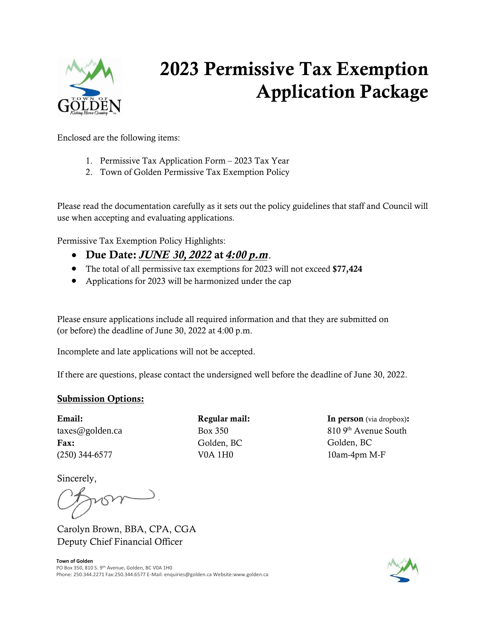

# 202**3** Permissive Tax Exemption Application Package

Enclosed are the following items:

- 1. Permissive Tax Application Form 2023 Tax Year
- 2. Town of Golden Permissive Tax Exemption Policy

Please read the documentation carefully as it sets out the policy guidelines that staff and Council will use when accepting and evaluating applications.

Permissive Tax Exemption Policy Highlights:

- Due Date: JUNE *30,* 20*22* at 4:*00* p.m.
- The total of all permissive tax exemptions for 2023 will not exceed \$7**7,424**
- Applications for 2023 will be harmonized under the cap

Please ensure applications include all required information and that they are submitted on (or before) the deadline of June 30, 2022 at 4:00 p.m.

Incomplete and late applications will not be accepted.

If there are questions, please contact the undersigned well before the deadline of June 30, 2022.

#### Submission Options:

Email: taxes[@golden.ca](mailto:Carolyn.brown@golden.ca) Fax: (250) 344-6577 V0A 1H0

Regular mail: Box 350 Golden, BC

In person (via dropbox): 810 9th Avenue South Golden, BC 10am-4pm M-F

Sincerely,

vom.

Carolyn Brown, BBA, CPA, CGA Deputy Chief Financial Officer

**Town of Golden** PO Box 350, 810 S. 9<sup>th</sup> Avenue, Golden, BC V0A 1H0 Phone: 250.344.2271 Fax:250.344.6577 E-Mail: enquiries@golden.ca Website:www.golden.ca

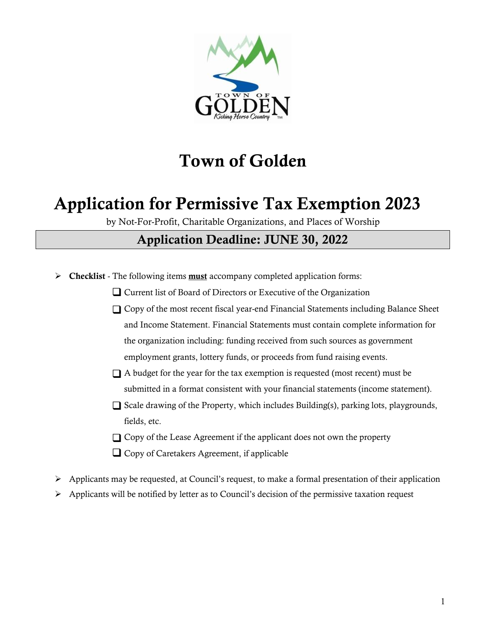

# **Town of Golden**

# **Application for Permissive Tax Exemption** 202**3**

by Not-For-Profit, Charitable Organizations, and Places of Worship

### **Application Deadline: JUNE** 30, 202**2**

- **Checklist** The following items **must** accompany completed application forms:
	- Current list of Board of Directors or Executive of the Organization
	- Copy of the most recent fiscal year-end Financial Statements including Balance Sheet and Income Statement. Financial Statements must contain complete information for the organization including: funding received from such sources as government employment grants, lottery funds, or proceeds from fund raising events.
	- A budget for the year for the tax exemption is requested (most recent) must be submitted in a format consistent with your financial statements (income statement).
	- Scale drawing of the Property, which includes Building(s), parking lots, playgrounds, fields, etc.
	- Copy of the Lease Agreement if the applicant does not own the property
	- **Q** Copy of Caretakers Agreement, if applicable
- $\triangleright$  Applicants may be requested, at Council's request, to make a formal presentation of their application
- $\triangleright$  Applicants will be notified by letter as to Council's decision of the permissive taxation request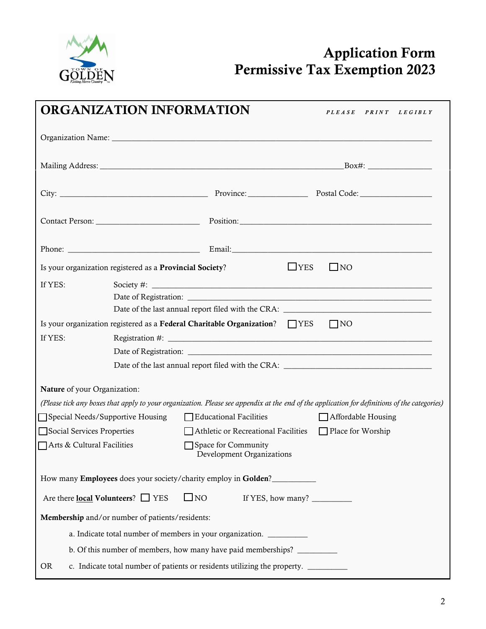

## **Application Form Permissive Tax Exemption 20**2**3**

|                            | <b>ORGANIZATION INFORMATION</b>                                                                                                              |                                                       |                   | PLEASE PRINT LEGIBLY         |  |
|----------------------------|----------------------------------------------------------------------------------------------------------------------------------------------|-------------------------------------------------------|-------------------|------------------------------|--|
|                            |                                                                                                                                              |                                                       |                   |                              |  |
|                            |                                                                                                                                              |                                                       |                   |                              |  |
|                            |                                                                                                                                              |                                                       |                   |                              |  |
|                            |                                                                                                                                              |                                                       |                   |                              |  |
|                            |                                                                                                                                              |                                                       |                   |                              |  |
|                            | Is your organization registered as a Provincial Society?                                                                                     |                                                       | $L$ YES           | $\Box$ NO                    |  |
| If YES:                    |                                                                                                                                              |                                                       |                   |                              |  |
|                            | Is your organization registered as a Federal Charitable Organization? $\Box$ YES                                                             |                                                       |                   | $\overline{\phantom{a}}$ INO |  |
| If YES:                    |                                                                                                                                              |                                                       |                   |                              |  |
|                            |                                                                                                                                              |                                                       |                   |                              |  |
|                            |                                                                                                                                              |                                                       |                   |                              |  |
|                            | Nature of your Organization:                                                                                                                 |                                                       |                   |                              |  |
|                            | (Please tick any boxes that apply to your organization. Please see appendix at the end of the application for definitions of the categories) |                                                       |                   |                              |  |
|                            | Special Needs/Supportive Housing                                                                                                             | Educational Facilities                                |                   | Affordable Housing           |  |
|                            | Social Services Properties                                                                                                                   | Athletic or Recreational Facilities Place for Worship |                   |                              |  |
| Arts & Cultural Facilities |                                                                                                                                              | Space for Community<br>Development Organizations      |                   |                              |  |
|                            | How many Employees does your society/charity employ in Golden?                                                                               |                                                       |                   |                              |  |
|                            | Are there local Volunteers? □ YES                                                                                                            | $\square$ NO                                          | If YES, how many? |                              |  |
|                            | Membership and/or number of patients/residents:                                                                                              |                                                       |                   |                              |  |
|                            | a. Indicate total number of members in your organization.                                                                                    |                                                       |                   |                              |  |
|                            | b. Of this number of members, how many have paid memberships?                                                                                |                                                       |                   |                              |  |
| <b>OR</b>                  | c. Indicate total number of patients or residents utilizing the property. _______                                                            |                                                       |                   |                              |  |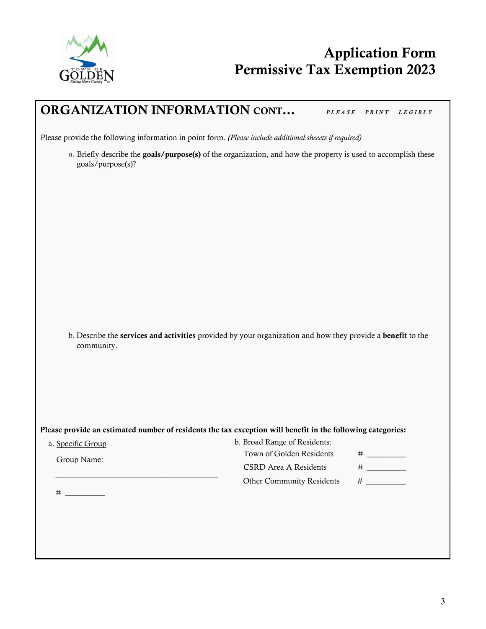

### **ORGANIZATION INFORMATION CONT...** PLEASE PRINT LEGIBLY

Please provide the following information in point form. *(Please include additional sheeets if required)*

a. Briefly describe the goals/purpose(s) of the organization, and how the property is used to accomplish these goals/purpose(s)?

b. Describe the **services and activities** provided by your organization and how they provide a **benefit** to the community.

Please provide an estimated number of residents the tax exception will benefit in the following categories:

| a. Specific Group | b. Broad Range of Residents:     |   |  |  |
|-------------------|----------------------------------|---|--|--|
| Group Name:       | Town of Golden Residents         |   |  |  |
|                   | CSRD Area A Residents            |   |  |  |
|                   | <b>Other Community Residents</b> | # |  |  |
|                   |                                  |   |  |  |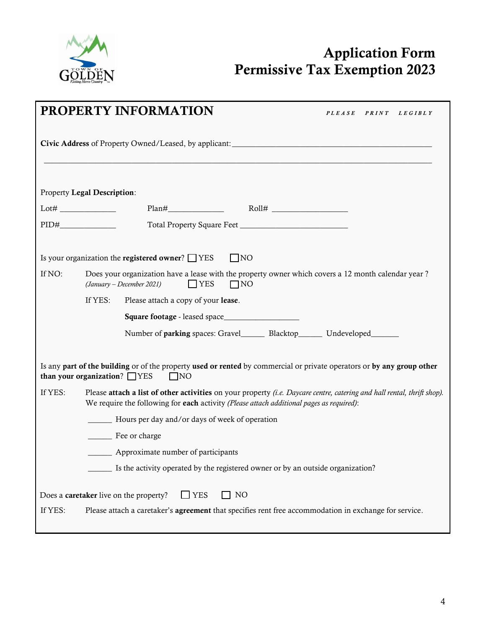

## **Application Form Permissive Tax Exemption** 202**3**

|         | <b>PROPERTY INFORMATION</b><br><i>PLEASE</i><br>$P \, R \, I \, N \, T$<br>L E G I B L Y                                                                                                                            |  |  |  |  |
|---------|---------------------------------------------------------------------------------------------------------------------------------------------------------------------------------------------------------------------|--|--|--|--|
|         | <b>Civic Address</b> of Property Owned/Leased, by applicant:                                                                                                                                                        |  |  |  |  |
|         | Property Legal Description:                                                                                                                                                                                         |  |  |  |  |
|         |                                                                                                                                                                                                                     |  |  |  |  |
|         |                                                                                                                                                                                                                     |  |  |  |  |
|         | Is your organization the registered owner? $\Box$ YES<br>$\Box$ NO                                                                                                                                                  |  |  |  |  |
| If NO:  | Does your organization have a lease with the property owner which covers a 12 month calendar year?<br>$\Box$ YES<br>(January - December 2021)<br>$\Box$ NO                                                          |  |  |  |  |
|         | If YES:<br>Please attach a copy of your lease.                                                                                                                                                                      |  |  |  |  |
|         |                                                                                                                                                                                                                     |  |  |  |  |
|         | Number of parking spaces: Gravel_________ Blacktop_________ Undeveloped_________                                                                                                                                    |  |  |  |  |
|         | Is any part of the building or of the property used or rented by commercial or private operators or by any group other<br>than your organization? $\Box$ YES<br>$\Box$ NO                                           |  |  |  |  |
| If YES: | Please attach a list of other activities on your property (i.e. Daycare centre, catering and hall rental, thrift shop).<br>We require the following for each activity (Please attach additional pages as required): |  |  |  |  |
|         | _________ Hours per day and/or days of week of operation                                                                                                                                                            |  |  |  |  |
|         | Fee or charge                                                                                                                                                                                                       |  |  |  |  |
|         | <b>Example 1</b> Approximate number of participants                                                                                                                                                                 |  |  |  |  |
|         | Is the activity operated by the registered owner or by an outside organization?                                                                                                                                     |  |  |  |  |
|         | $\Box$ NO<br>Does a caretaker live on the property?<br>$\Box$ YES                                                                                                                                                   |  |  |  |  |
| If YES: | Please attach a caretaker's <b>agreement</b> that specifies rent free accommodation in exchange for service.                                                                                                        |  |  |  |  |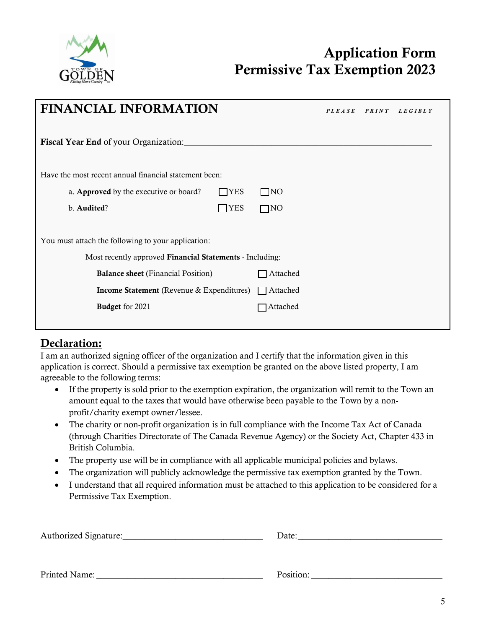

## **Application Form Permissive Tax Exemption** 202**3**

| <b>FINANCIAL INFORMATION</b>                                |           | <b>PLEASE</b> | <b>PRINT</b> | L E G I B L Y |
|-------------------------------------------------------------|-----------|---------------|--------------|---------------|
| Fiscal Year End of your Organization:                       |           |               |              |               |
| Have the most recent annual financial statement been:       |           |               |              |               |
| a. Approved by the executive or board?<br>$\Box$ YES        | $\Box$ NO |               |              |               |
| b. Audited?<br>$\neg$ YES                                   | $\Box$ NO |               |              |               |
| You must attach the following to your application:          |           |               |              |               |
| Most recently approved Financial Statements - Including:    |           |               |              |               |
| <b>Balance sheet</b> (Financial Position)                   | Attached  |               |              |               |
| <b>Income Statement</b> (Revenue & Expenditures) □ Attached |           |               |              |               |
| Budget for 2021                                             | ]Attached |               |              |               |
|                                                             |           |               |              |               |

#### **Declaration:**

I am an authorized signing officer of the organization and I certify that the information given in this application is correct. Should a permissive tax exemption be granted on the above listed property, I am agreeable to the following terms:

- If the property is sold prior to the exemption expiration, the organization will remit to the Town an amount equal to the taxes that would have otherwise been payable to the Town by a nonprofit/charity exempt owner/lessee.
- The charity or non-profit organization is in full compliance with the Income Tax Act of Canada (through Charities Directorate of The Canada Revenue Agency) or the Society Act, Chapter 433 in British Columbia.
- The property use will be in compliance with all applicable municipal policies and bylaws.
- The organization will publicly acknowledge the permissive tax exemption granted by the Town.
- I understand that all required information must be attached to this application to be considered for a Permissive Tax Exemption.

| Authorized Signature: | Date: |
|-----------------------|-------|
|                       |       |
|                       |       |

Printed Name: \_\_\_\_\_\_\_\_\_\_\_\_\_\_\_\_\_\_\_\_\_\_\_\_\_\_\_\_\_\_\_\_\_\_\_\_\_\_ Position: \_\_\_\_\_\_\_\_\_\_\_\_\_\_\_\_\_\_\_\_\_\_\_\_\_\_\_\_\_\_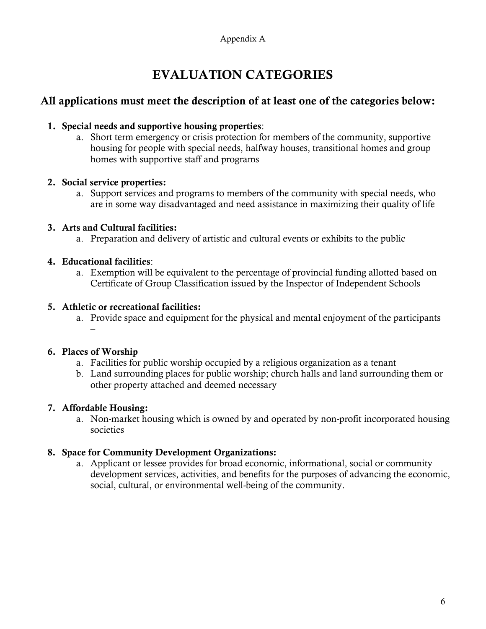## **EVALUATION CATEGORIES**

#### **All applications must meet the description of at least one of the categories below:**

#### **1. Special needs and supportive housing properties**:

a. Short term emergency or crisis protection for members of the community, supportive housing for people with special needs, halfway houses, transitional homes and group homes with supportive staff and programs

#### **2. Social service properties:**

a. Support services and programs to members of the community with special needs, who are in some way disadvantaged and need assistance in maximizing their quality of life

#### **3. Arts and Cultural facilities:**

a. Preparation and delivery of artistic and cultural events or exhibits to the public

#### **4. Educational facilities**:

a. Exemption will be equivalent to the percentage of provincial funding allotted based on Certificate of Group Classification issued by the Inspector of Independent Schools

#### **5. Athletic or recreational facilities:**

a. Provide space and equipment for the physical and mental enjoyment of the participants –

#### **6. Places of Worship**

- a. Facilities for public worship occupied by a religious organization as a tenant
- b. Land surrounding places for public worship; church halls and land surrounding them or other property attached and deemed necessary

#### **7. Affordable Housing:**

a. Non-market housing which is owned by and operated by non-profit incorporated housing societies

#### **8. Space for Community Development Organizations:**

a. Applicant or lessee provides for broad economic, informational, social or community development services, activities, and benefits for the purposes of advancing the economic, social, cultural, or environmental well-being of the community.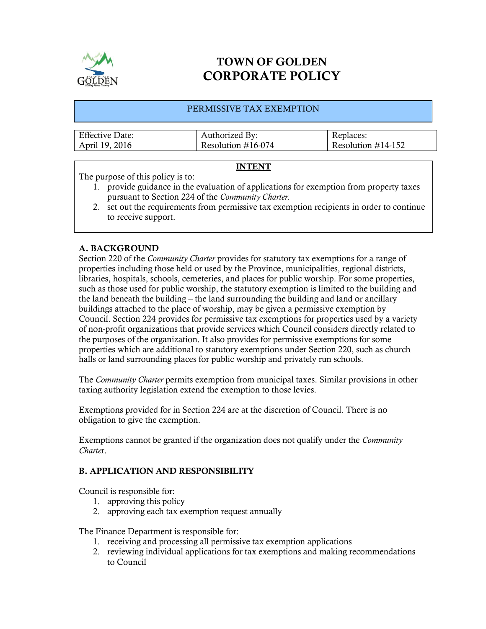

### TOWN OF GOLDEN CORPORATE POLICY

#### PERMISSIVE TAX EXEMPTION

| <b>Effective Date:</b> | Authorized By:        | Replaces:             |
|------------------------|-----------------------|-----------------------|
| April 19, 2016         | Resolution $\#16-074$ | Resolution $\#14-152$ |

#### INTENT

The purpose of this policy is to:

- 1. provide guidance in the evaluation of applications for exemption from property taxes pursuant to Section 224 of the *Community Charter.*
- 2. set out the requirements from permissive tax exemption recipients in order to continue to receive support.

#### A. BACKGROUND

Section 220 of the *Community Charter* provides for statutory tax exemptions for a range of properties including those held or used by the Province, municipalities, regional districts, libraries, hospitals, schools, cemeteries, and places for public worship. For some properties, such as those used for public worship, the statutory exemption is limited to the building and the land beneath the building – the land surrounding the building and land or ancillary buildings attached to the place of worship, may be given a permissive exemption by Council. Section 224 provides for permissive tax exemptions for properties used by a variety of non-profit organizations that provide services which Council considers directly related to the purposes of the organization. It also provides for permissive exemptions for some properties which are additional to statutory exemptions under Section 220, such as church halls or land surrounding places for public worship and privately run schools.

The *Community Charter* permits exemption from municipal taxes. Similar provisions in other taxing authority legislation extend the exemption to those levies.

Exemptions provided for in Section 224 are at the discretion of Council. There is no obligation to give the exemption.

Exemptions cannot be granted if the organization does not qualify under the *Community Charte*r.

#### B. APPLICATION AND RESPONSIBILITY

Council is responsible for:

- 1. approving this policy
- 2. approving each tax exemption request annually

The Finance Department is responsible for:

- 1. receiving and processing all permissive tax exemption applications
- 2. reviewing individual applications for tax exemptions and making recommendations to Council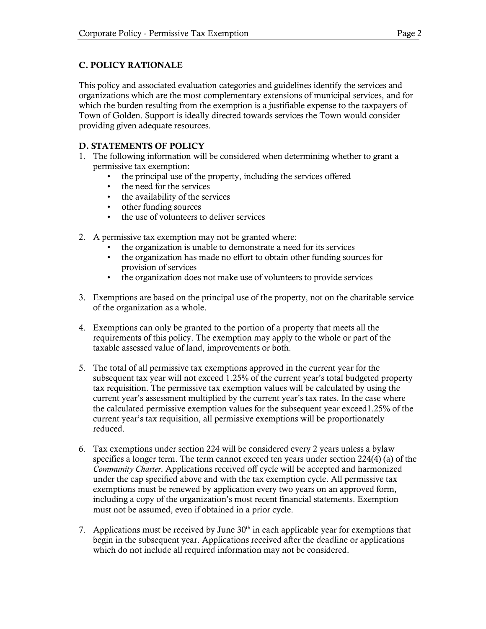#### C. POLICY RATIONALE

This policy and associated evaluation categories and guidelines identify the services and organizations which are the most complementary extensions of municipal services, and for which the burden resulting from the exemption is a justifiable expense to the taxpayers of Town of Golden. Support is ideally directed towards services the Town would consider providing given adequate resources.

#### D. STATEMENTS OF POLICY

- 1. The following information will be considered when determining whether to grant a permissive tax exemption:
	- the principal use of the property, including the services offered
	- the need for the services
	- the availability of the services
	- other funding sources
	- the use of volunteers to deliver services
- 2. A permissive tax exemption may not be granted where:
	- the organization is unable to demonstrate a need for its services
	- the organization has made no effort to obtain other funding sources for provision of services
	- the organization does not make use of volunteers to provide services
- 3. Exemptions are based on the principal use of the property, not on the charitable service of the organization as a whole.
- 4. Exemptions can only be granted to the portion of a property that meets all the requirements of this policy. The exemption may apply to the whole or part of the taxable assessed value of land, improvements or both.
- 5. The total of all permissive tax exemptions approved in the current year for the subsequent tax year will not exceed 1.25% of the current year's total budgeted property tax requisition. The permissive tax exemption values will be calculated by using the current year's assessment multiplied by the current year's tax rates. In the case where the calculated permissive exemption values for the subsequent year exceed1.25% of the current year's tax requisition, all permissive exemptions will be proportionately reduced.
- 6. Tax exemptions under section 224 will be considered every 2 years unless a bylaw specifies a longer term. The term cannot exceed ten years under section 224(4) (a) of the *Community Charter*. Applications received off cycle will be accepted and harmonized under the cap specified above and with the tax exemption cycle. All permissive tax exemptions must be renewed by application every two years on an approved form, including a copy of the organization's most recent financial statements. Exemption must not be assumed, even if obtained in a prior cycle.
- 7. Applications must be received by June  $30<sup>th</sup>$  in each applicable year for exemptions that begin in the subsequent year. Applications received after the deadline or applications which do not include all required information may not be considered.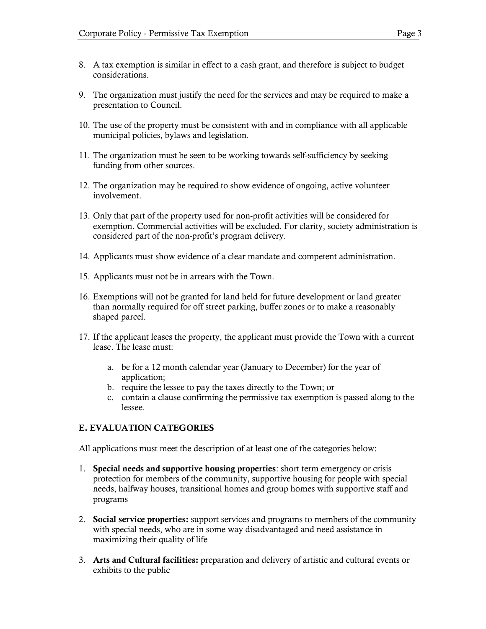- 8. A tax exemption is similar in effect to a cash grant, and therefore is subject to budget considerations.
- 9. The organization must justify the need for the services and may be required to make a presentation to Council.
- 10. The use of the property must be consistent with and in compliance with all applicable municipal policies, bylaws and legislation.
- 11. The organization must be seen to be working towards self-sufficiency by seeking funding from other sources.
- 12. The organization may be required to show evidence of ongoing, active volunteer involvement.
- 13. Only that part of the property used for non-profit activities will be considered for exemption. Commercial activities will be excluded. For clarity, society administration is considered part of the non-profit's program delivery.
- 14. Applicants must show evidence of a clear mandate and competent administration.
- 15. Applicants must not be in arrears with the Town.
- 16. Exemptions will not be granted for land held for future development or land greater than normally required for off street parking, buffer zones or to make a reasonably shaped parcel.
- 17. If the applicant leases the property, the applicant must provide the Town with a current lease. The lease must:
	- a. be for a 12 month calendar year (January to December) for the year of application;
	- b. require the lessee to pay the taxes directly to the Town; or
	- c. contain a clause confirming the permissive tax exemption is passed along to the lessee.

#### E. EVALUATION CATEGORIES

All applications must meet the description of at least one of the categories below:

- 1. Special needs and supportive housing properties: short term emergency or crisis protection for members of the community, supportive housing for people with special needs, halfway houses, transitional homes and group homes with supportive staff and programs
- 2. Social service properties: support services and programs to members of the community with special needs, who are in some way disadvantaged and need assistance in maximizing their quality of life
- 3. Arts and Cultural facilities: preparation and delivery of artistic and cultural events or exhibits to the public